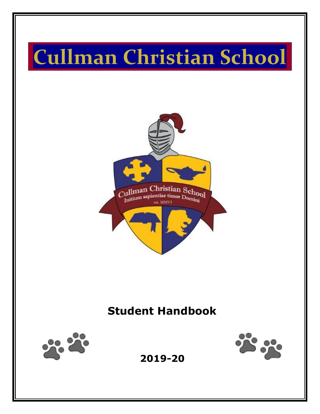# **Cullman Christian School**



## **Student Handbook**





**2019-20**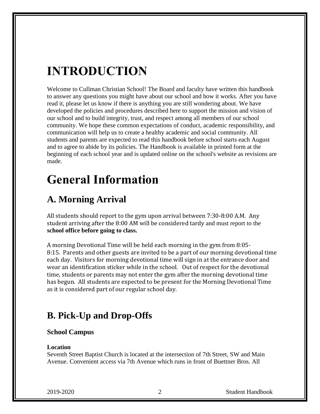## **INTRODUCTION**

Welcome to Cullman Christian School! The Board and faculty have written this handbook to answer any questions you might have about our school and how it works. After you have read it, please let us know if there is anything you are still wondering about. We have developed the policies and procedures described here to support the mission and vision of our school and to build integrity, trust, and respect among all members of our school community. We hope these common expectations of conduct, academic responsibility, and communication will help us to create a healthy academic and social community. All students and parents are expected to read this handbook before school starts each August and to agree to abide by its policies. The Handbook is available in printed form at the beginning of each school year and is updated online on the school's website as revisions are made.

## **General Information**

### **A. Morning Arrival**

All students should report to the gym upon arrival between 7:30-8:00 A.M. Any student arriving after the 8:00 AM will be considered tardy and must report to the **school office before going to class.**

A morning Devotional Time will be held each morning in the gym from 8:05- 8:15. Parents and other guests are invited to be a part of our morning devotional time each day. Visitors for morning devotional time will sign in at the entrance door and wear an identification sticker while in the school. Out of respect for the devotional time, students or parents may not enter the gym after the morning devotional time has begun. All students are expected to be present for the Morning Devotional Time as it is considered part of our regular school day.

### **B. Pick-Up and Drop-Offs**

#### **School Campus**

#### **Location**

Seventh Street Baptist Church is located at the intersection of 7th Street, SW and Main Avenue. Convenient access via 7th Avenue which runs in front of Buettner Bros. All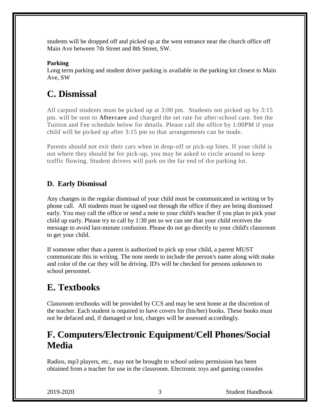students will be dropped off and picked up at the west entrance near the church office off Main Ave between 7th Street and 8th Street, SW.

#### **Parking**

Long term parking and student driver parking is available in the parking lot closest to Main Ave, SW

### **C. Dismissal**

All carpool students must be picked up at 3:00 pm. Students not picked up by 3:15 pm. will be sent to **Aftercare** and charged the set rate for after-school care. See the Tuition and Fee schedule below for details. Please call the office by 1:00PM if your child will be picked up after 3:15 pm so that arrangements can be made.

Parents should not exit their cars when in drop-off or pick-up lines. If your child is not where they should be for pick-up, you may be asked to circle around to keep traffic flowing. Student drivers will park on the far end of the parking lot.

#### **D.****Early Dismissal**

Any changes in the regular dismissal of your child must be communicated in writing or by phone call. All students must be signed out through the office if they are being dismissed early. You may call the office or send a note to your child's teacher if you plan to pick your child up early. Please try to call by 1:30 pm so we can see that your child receives the message to avoid last-minute confusion. Please do not go directly to your child's classroom to get your child.

If someone other than a parent is authorized to pick up your child, a parent MUST communicate this in writing. The note needs to include the person's name along with make and color of the car they will be driving. ID's will be checked for persons unknown to school personnel.

### **E. Textbooks**

Classroom textbooks will be provided by CCS and may be sent home at the discretion of the teacher. Each student is required to have covers for (his/her) books. These books must not be defaced and, if damaged or lost, charges will be assessed accordingly.

### **F. Computers/Electronic Equipment/Cell Phones/Social Media**

Radios, mp3 players, etc., may not be brought to school unless permission has been obtained from a teacher for use in the classroom. Electronic toys and gaming consoles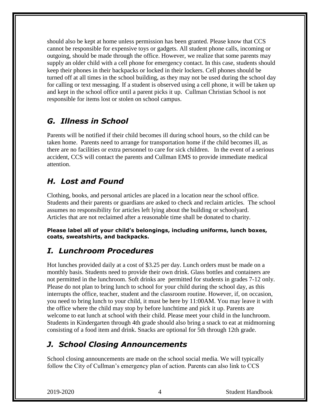should also be kept at home unless permission has been granted. Please know that CCS cannot be responsible for expensive toys or gadgets. All student phone calls, incoming or outgoing, should be made through the office. However, we realize that some parents may supply an older child with a cell phone for emergency contact. In this case, students should keep their phones in their backpacks or locked in their lockers. Cell phones should be turned off at all times in the school building, as they may not be used during the school day for calling or text messaging. If a student is observed using a cell phone, it will be taken up and kept in the school office until a parent picks it up. Cullman Christian School is not responsible for items lost or stolen on school campus.

#### *G. Illness in School*

Parents will be notified if their child becomes ill during school hours, so the child can be taken home. Parents need to arrange for transportation home if the child becomes ill, as there are no facilities or extra personnel to care for sick children. In the event of a serious accident, CCS will contact the parents and Cullman EMS to provide immediate medical attention.

#### *H. Lost and Found*

Clothing, books, and personal articles are placed in a location near the school office. Students and their parents or guardians are asked to check and reclaim articles. The school assumes no responsibility for articles left lying about the building or schoolyard. Articles that are not reclaimed after a reasonable time shall be donated to charity.

**Please label all of your child's belongings, including uniforms, lunch boxes, coats, sweatshirts, and backpacks.**

#### *I. Lunchroom Procedures*

Hot lunches provided daily at a cost of \$3.25 per day. Lunch orders must be made on a monthly basis. Students need to provide their own drink. Glass bottles and containers are not permitted in the lunchroom. Soft drinks are permitted for students in grades 7-12 only. Please do not plan to bring lunch to school for your child during the school day, as this interrupts the office, teacher, student and the classroom routine. However, if, on occasion, you need to bring lunch to your child, it must be here by 11:00AM. You may leave it with the office where the child may stop by before lunchtime and pick it up. Parents are welcome to eat lunch at school with their child. Please meet your child in the lunchroom. Students in Kindergarten through 4th grade should also bring a snack to eat at midmorning consisting of a food item and drink. Snacks are optional for 5th through 12th grade.

### *J. School Closing Announcements*

School closing announcements are made on the school social media. We will typically follow the City of Cullman's emergency plan of action. Parents can also link to CCS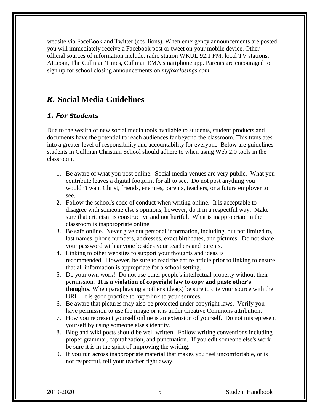website via FaceBook and Twitter (ccs lions). When emergency announcements are posted you will immediately receive a Facebook post or tweet on your mobile device. Other official sources of information include: radio station WKUL 92.1 FM, local TV stations, AL.com, The Cullman Times, Cullman EMA smartphone app. Parents are encouraged to sign up for school closing announcements on *[myfoxclosings.com](http://ftpcontent.worldnow.com/wbrc/closings/)*.

#### *K.* **Social Media Guidelines**

#### *1. For Students*

Due to the wealth of new social media tools available to students, student products and documents have the potential to reach audiences far beyond the classroom. This translates into a greater level of responsibility and accountability for everyone. Below are guidelines students in Cullman Christian School should adhere to when using Web 2.0 tools in the classroom.

- 1. Be aware of what you post online. Social media venues are very public. What you contribute leaves a digital footprint for all to see. Do not post anything you wouldn't want Christ, friends, enemies, parents, teachers, or a future employer to see.
- 2. Follow the school's code of conduct when writing online. It is acceptable to disagree with someone else's opinions, however, do it in a respectful way. Make sure that criticism is constructive and not hurtful. What is inappropriate in the classroom is inappropriate online.
- 3. Be safe online. Never give out personal information, including, but not limited to, last names, phone numbers, addresses, exact birthdates, and pictures. Do not share your password with anyone besides your teachers and parents.
- 4. Linking to other websites to support your thoughts and ideas is recommended. However, be sure to read the entire article prior to linking to ensure that all information is appropriate for a school setting.
- 5. Do your own work! Do not use other people's intellectual property without their permission. **It is a violation of copyright law to copy and paste other's thoughts.** When paraphrasing another's idea(s) be sure to cite your source with the URL. It is good practice to hyperlink to your sources.
- 6. Be aware that pictures may also be protected under copyright laws. Verify you have permission to use the image or it is under Creative Commons attribution.
- 7. How you represent yourself online is an extension of yourself. Do not misrepresent yourself by using someone else's identity.
- 8. Blog and wiki posts should be well written. Follow writing conventions including proper grammar, capitalization, and punctuation. If you edit someone else's work be sure it is in the spirit of improving the writing.
- 9. If you run across inappropriate material that makes you feel uncomfortable, or is not respectful, tell your teacher right away.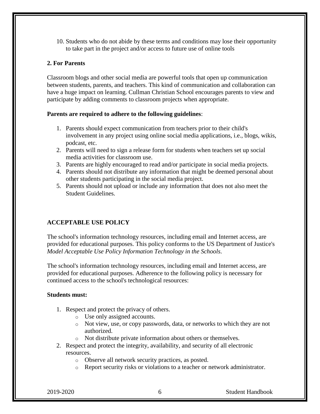10. Students who do not abide by these terms and conditions may lose their opportunity to take part in the project and/or access to future use of online tools

#### **2. For Parents**

Classroom blogs and other social media are powerful tools that open up communication between students, parents, and teachers. This kind of communication and collaboration can have a huge impact on learning. Cullman Christian School encourages parents to view and participate by adding comments to classroom projects when appropriate.

#### **Parents are required to adhere to the following guidelines**:

- 1. Parents should expect communication from teachers prior to their child's involvement in any project using online social media applications, i.e., blogs, wikis, podcast, etc.
- 2. Parents will need to sign a release form for students when teachers set up social media activities for classroom use.
- 3. Parents are highly encouraged to read and/or participate in social media projects.
- 4. Parents should not distribute any information that might be deemed personal about other students participating in the social media project.
- 5. Parents should not upload or include any information that does not also meet the Student Guidelines.

#### **ACCEPTABLE USE POLICY**

The school's information technology resources, including email and Internet access, are provided for educational purposes. This policy conforms to the US Department of Justice's *Model Acceptable Use Policy Information Technology in the Schools*.

The school's information technology resources, including email and Internet access, are provided for educational purposes. Adherence to the following policy is necessary for continued access to the school's technological resources:

#### **Students must:**

- 1. Respect and protect the privacy of others.
	- o Use only assigned accounts.
	- o Not view, use, or copy passwords, data, or networks to which they are not authorized.
	- o Not distribute private information about others or themselves.
- 2. Respect and protect the integrity, availability, and security of all electronic resources.
	- o Observe all network security practices, as posted.
	- o Report security risks or violations to a teacher or network administrator.

2019-2020 6 Student Handbook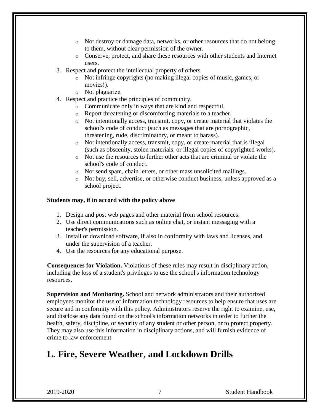- o Not destroy or damage data, networks, or other resources that do not belong to them, without clear permission of the owner.
- o Conserve, protect, and share these resources with other students and Internet users.
- 3. Respect and protect the intellectual property of others
	- o Not infringe copyrights (no making illegal copies of music, games, or movies!).
	- o Not plagiarize.
- 4. Respect and practice the principles of community.
	- o Communicate only in ways that are kind and respectful.
	- o Report threatening or discomforting materials to a teacher.
	- o Not intentionally access, transmit, copy, or create material that violates the school's code of conduct (such as messages that are pornographic, threatening, rude, discriminatory, or meant to harass).
	- o Not intentionally access, transmit, copy, or create material that is illegal (such as obscenity, stolen materials, or illegal copies of copyrighted works).
	- o Not use the resources to further other acts that are criminal or violate the school's code of conduct.
	- o Not send spam, chain letters, or other mass unsolicited mailings.
	- o Not buy, sell, advertise, or otherwise conduct business, unless approved as a school project.

#### **Students may, if in accord with the policy above**

- 1. Design and post web pages and other material from school resources.
- 2. Use direct communications such as online chat, or instant messaging with a teacher's permission.
- 3. Install or download software, if also in conformity with laws and licenses, and under the supervision of a teacher.
- 4. Use the resources for any educational purpose.

**Consequences for Violation.** Violations of these rules may result in disciplinary action, including the loss of a student's privileges to use the school's information technology resources.

**Supervision and Monitoring.** School and network administrators and their authorized employees monitor the use of information technology resources to help ensure that uses are secure and in conformity with this policy. Administrators reserve the right to examine, use, and disclose any data found on the school's information networks in order to further the health, safety, discipline, or security of any student or other person, or to protect property. They may also use this information in disciplinary actions, and will furnish evidence of crime to law enforcement

### **L. Fire, Severe Weather, and Lockdown Drills**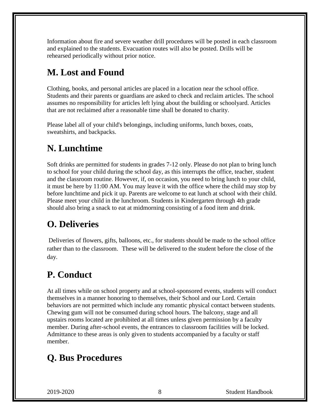Information about fire and severe weather drill procedures will be posted in each classroom and explained to the students. Evacuation routes will also be posted. Drills will be rehearsed periodically without prior notice.

### **M. Lost and Found**

Clothing, books, and personal articles are placed in a location near the school office. Students and their parents or guardians are asked to check and reclaim articles. The school assumes no responsibility for articles left lying about the building or schoolyard. Articles that are not reclaimed after a reasonable time shall be donated to charity.

Please label all of your child's belongings, including uniforms, lunch boxes, coats, sweatshirts, and backpacks.

### **N. Lunchtime**

Soft drinks are permitted for students in grades 7-12 only. Please do not plan to bring lunch to school for your child during the school day, as this interrupts the office, teacher, student and the classroom routine. However, if, on occasion, you need to bring lunch to your child, it must be here by 11:00 AM. You may leave it with the office where the child may stop by before lunchtime and pick it up. Parents are welcome to eat lunch at school with their child. Please meet your child in the lunchroom. Students in Kindergarten through 4th grade should also bring a snack to eat at midmorning consisting of a food item and drink.

### **O. Deliveries**

Deliveries of flowers, gifts, balloons, etc., for students should be made to the school office rather than to the classroom. These will be delivered to the student before the close of the day.

### **P. Conduct**

At all times while on school property and at school-sponsored events, students will conduct themselves in a manner honoring to themselves, their School and our Lord. Certain behaviors are not permitted which include any romantic physical contact between students. Chewing gum will not be consumed during school hours. The balcony, stage and all upstairs rooms located are prohibited at all times unless given permission by a faculty member. During after-school events, the entrances to classroom facilities will be locked. Admittance to these areas is only given to students accompanied by a faculty or staff member.

### **Q. Bus Procedures**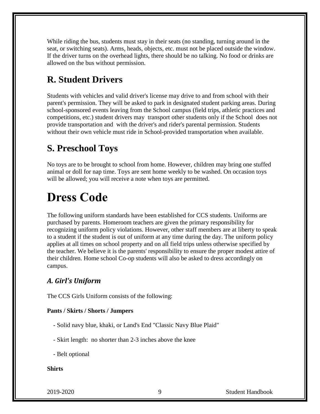While riding the bus, students must stay in their seats (no standing, turning around in the seat, or switching seats). Arms, heads, objects, etc. must not be placed outside the window. If the driver turns on the overhead lights, there should be no talking. No food or drinks are allowed on the bus without permission.

### **R. Student Drivers**

Students with vehicles and valid driver's license may drive to and from school with their parent's permission. They will be asked to park in designated student parking areas. During school-sponsored events leaving from the School campus (field trips, athletic practices and competitions, etc.) student drivers may transport other students only if the School does not provide transportation and with the driver's and rider's parental permission. Students without their own vehicle must ride in School-provided transportation when available.

### **S. Preschool Toys**

No toys are to be brought to school from home. However, children may bring one stuffed animal or doll for nap time. Toys are sent home weekly to be washed. On occasion toys will be allowed; you will receive a note when toys are permitted.

## **Dress Code**

The following uniform standards have been established for CCS students. Uniforms are purchased by parents. Homeroom teachers are given the primary responsibility for recognizing uniform policy violations. However, other staff members are at liberty to speak to a student if the student is out of uniform at any time during the day. The uniform policy applies at all times on school property and on all field trips unless otherwise specified by the teacher. We believe it is the parents' responsibility to ensure the proper modest attire of their children. Home school Co-op students will also be asked to dress accordingly on campus.

#### *A. Girl's Uniform*

The CCS Girls Uniform consists of the following:

#### **Pants / Skirts / Shorts / Jumpers**

- Solid navy blue, khaki, or Land's End "Classic Navy Blue Plaid"
- Skirt length: no shorter than 2-3 inches above the knee
- Belt optional

**Shirts**

2019-2020 9 Student Handbook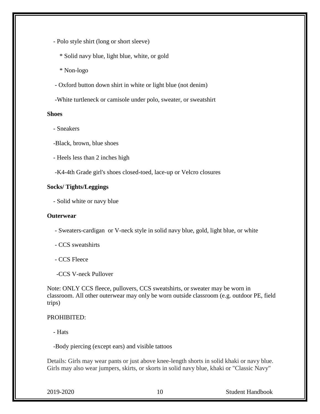- Polo style shirt (long or short sleeve)

\* Solid navy blue, light blue, white, or gold

\* Non-logo

- Oxford button down shirt in white or light blue (not denim)
- -White turtleneck or camisole under polo, sweater, or sweatshirt

#### **Shoes**

- Sneakers

-Black, brown, blue shoes

- Heels less than 2 inches high

-K4-4th Grade girl's shoes closed-toed, lace-up or Velcro closures

#### **Socks/ Tights/Leggings**

- Solid white or navy blue

#### **Outerwear**

- Sweaters-cardigan or V-neck style in solid navy blue, gold, light blue, or white
- CCS sweatshirts
- CCS Fleece
- -CCS V-neck Pullover

Note: ONLY CCS fleece, pullovers, CCS sweatshirts, or sweater may be worn in classroom. All other outerwear may only be worn outside classroom (e.g. outdoor PE, field trips)

#### PROHIBITED:

- Hats

-Body piercing (except ears) and visible tattoos

Details: Girls may wear pants or just above knee-length shorts in solid khaki or navy blue. Girls may also wear jumpers, skirts, or skorts in solid navy blue, khaki or "Classic Navy"

2019-2020 10 Student Handbook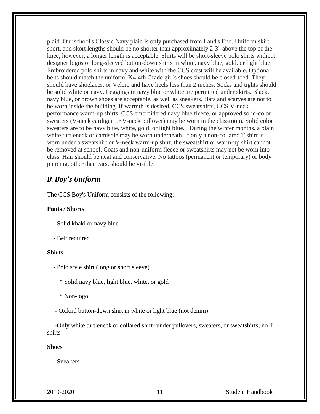plaid. Our school's Classic Navy plaid is only purchased from Land's End. Uniform skirt, short, and skort lengths should be no shorter than approximately 2-3" above the top of the knee; however, a longer length is acceptable. Shirts will be short-sleeve polo shirts without designer logos or long-sleeved button-down shirts in white, navy blue, gold, or light blue. Embroidered polo shirts in navy and white with the CCS crest will be available. Optional belts should match the uniform. K4-4th Grade girl's shoes should be closed-toed. They should have shoelaces, or Velcro and have heels less than 2 inches. Socks and tights should be solid white or navy. Leggings in navy blue or white are permitted under skirts. Black, navy blue, or brown shoes are acceptable, as well as sneakers. Hats and scarves are not to be worn inside the building. If warmth is desired, CCS sweatshirts, CCS V-neck performance warm-up shirts, CCS embroidered navy blue fleece, or approved solid-color sweaters (V-neck cardigan or V-neck pullover) may be worn in the classroom. Solid color sweaters are to be navy blue, white, gold, or light blue. During the winter months, a plain white turtleneck or camisole may be worn underneath. If only a non-collared T shirt is worn under a sweatshirt or V-neck warm-up shirt, the sweatshirt or warm-up shirt cannot be removed at school. Coats and non-uniform fleece or sweatshirts may not be worn into class. Hair should be neat and conservative. No tattoos (permanent or temporary) or body piercing, other than ears, should be visible.

#### *B. Boy's Uniform*

The CCS Boy's Uniform consists of the following:

#### **Pants / Shorts**

- Solid khaki or navy blue
- Belt required

#### **Shirts**

- Polo style shirt (long or short sleeve)

\* Solid navy blue, light blue, white, or gold

\* Non-logo

- Oxford button-down shirt in white or light blue (not denim)

 -Only white turtleneck or collared shirt- under pullovers, sweaters, or sweatshirts; no T shirts

#### **Shoes**

- Sneakers

2019-2020 11 Student Handbook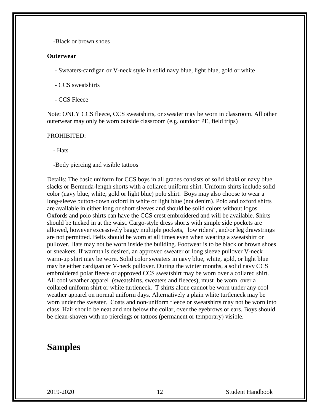-Black or brown shoes

#### **Outerwear**

- Sweaters-cardigan or V-neck style in solid navy blue, light blue, gold or white

- CCS sweatshirts

- CCS Fleece

Note: ONLY CCS fleece, CCS sweatshirts, or sweater may be worn in classroom. All other outerwear may only be worn outside classroom (e.g. outdoor PE, field trips)

#### PROHIBITED:

- Hats

-Body piercing and visible tattoos

Details: The basic uniform for CCS boys in all grades consists of solid khaki or navy blue slacks or Bermuda-length shorts with a collared uniform shirt. Uniform shirts include solid color (navy blue, white, gold or light blue) polo shirt. Boys may also choose to wear a long-sleeve button-down oxford in white or light blue (not denim). Polo and oxford shirts are available in either long or short sleeves and should be solid colors without logos. Oxfords and polo shirts can have the CCS crest embroidered and will be available. Shirts should be tucked in at the waist. Cargo-style dress shorts with simple side pockets are allowed, however excessively baggy multiple pockets, "low riders", and/or leg drawstrings are not permitted. Belts should be worn at all times even when wearing a sweatshirt or pullover. Hats may not be worn inside the building. Footwear is to be black or brown shoes or sneakers. If warmth is desired, an approved sweater or long sleeve pullover V-neck warm-up shirt may be worn. Solid color sweaters in navy blue, white, gold, or light blue may be either cardigan or V-neck pullover. During the winter months, a solid navy CCS embroidered polar fleece or approved CCS sweatshirt may be worn over a collared shirt. All cool weather apparel (sweatshirts, sweaters and fleeces), must be worn over a collared uniform shirt or white turtleneck. T shirts alone cannot be worn under any cool weather apparel on normal uniform days. Alternatively a plain white turtleneck may be worn under the sweater. Coats and non-uniform fleece or sweatshirts may not be worn into class. Hair should be neat and not below the collar, over the eyebrows or ears. Boys should be clean-shaven with no piercings or tattoos (permanent or temporary) visible.

#### **Samples**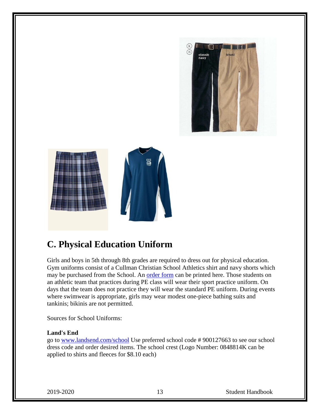



### **C. Physical Education Uniform**

Girls and boys in 5th through 8th grades are required to dress out for physical education. Gym uniforms consist of a Cullman Christian School Athletics shirt and navy shorts which may be purchased from the School. An [order form](http://www.cullmanchristian.com/site/sites/default/files/documents/pe%2Border%2Bform.pdf) can be printed here. Those students on an athletic team that practices during PE class will wear their sport practice uniform. On days that the team does not practice they will wear the standard PE uniform. During events where swimwear is appropriate, girls may wear modest one-piece bathing suits and tankinis; bikinis are not permitted.

Sources for School Uniforms:

#### **Land's End**

go to [www.landsend.com/school](http://landsend.com/school) Use preferred school code # 900127663 to see our school dress code and order desired items. The school crest (Logo Number: 0848814K can be applied to shirts and fleeces for \$8.10 each)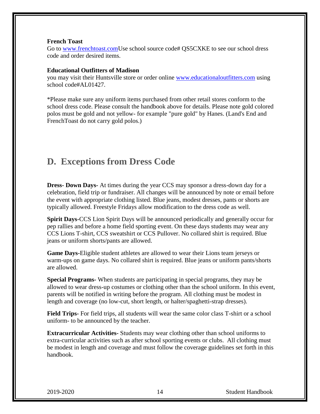#### **French Toast**

Go to [www.frenchtoast.comU](http://frenchtoast.com/)se school source code# QS5CXKE to see our school dress code and order desired items.

#### **Educational Outfitters of Madison**

you may visit their Huntsville store or order online [www.educationaloutfitters.com](http://www.educationaloutfitters.com/SchoolStore.aspx?SchoolCode=AL01427&Schoolid=1428) using school code#AL01427.

\*Please make sure any uniform items purchased from other retail stores conform to the school dress code. Please consult the handbook above for details. Please note gold colored polos must be gold and not yellow- for example "pure gold" by Hanes. (Land's End and FrenchToast do not carry gold polos.)

#### **D. Exceptions from Dress Code**

**Dress- Down Days-** At times during the year CCS may sponsor a dress-down day for a celebration, field trip or fundraiser. All changes will be announced by note or email before the event with appropriate clothing listed. Blue jeans, modest dresses, pants or shorts are typically allowed. Freestyle Fridays allow modification to the dress code as well.

**Spirit Days-**CCS Lion Spirit Days will be announced periodically and generally occur for pep rallies and before a home field sporting event. On these days students may wear any CCS Lions T-shirt, CCS sweatshirt or CCS Pullover. No collared shirt is required. Blue jeans or uniform shorts/pants are allowed.

**Game Days-**Eligible student athletes are allowed to wear their Lions team jerseys or warm-ups on game days. No collared shirt is required. Blue jeans or uniform pants/shorts are allowed.

**Special Programs-** When students are participating in special programs, they may be allowed to wear dress-up costumes or clothing other than the school uniform. In this event, parents will be notified in writing before the program. All clothing must be modest in length and coverage (no low-cut, short length, or halter/spaghetti-strap dresses).

**Field Trips-** For field trips, all students will wear the same color class T-shirt or a school uniform- to be announced by the teacher.

**Extracurricular Activities-** Students may wear clothing other than school uniforms to extra-curricular activities such as after school sporting events or clubs. All clothing must be modest in length and coverage and must follow the coverage guidelines set forth in this handbook.

2019-2020 14 Student Handbook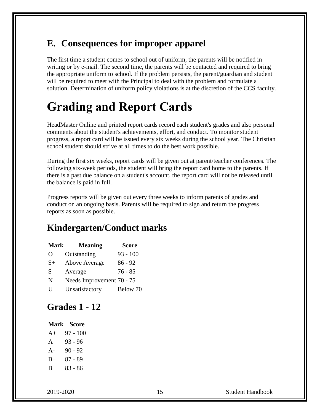### **E. Consequences for improper apparel**

The first time a student comes to school out of uniform, the parents will be notified in writing or by e-mail. The second time, the parents will be contacted and required to bring the appropriate uniform to school. If the problem persists, the parent/guardian and student will be required to meet with the Principal to deal with the problem and formulate a solution. Determination of uniform policy violations is at the discretion of the CCS faculty.

## **Grading and Report Cards**

HeadMaster Online and printed report cards record each student's grades and also personal comments about the student's achievements, effort, and conduct. To monitor student progress, a report card will be issued every six weeks during the school year. The Christian school student should strive at all times to do the best work possible.

During the first six weeks, report cards will be given out at parent/teacher conferences. The following six-week periods, the student will bring the report card home to the parents. If there is a past due balance on a student's account, the report card will not be released until the balance is paid in full.

Progress reports will be given out every three weeks to inform parents of grades and conduct on an ongoing basis. Parents will be required to sign and return the progress reports as soon as possible.

### **Kindergarten/Conduct marks**

| <b>Mark</b> | <b>Meaning</b>            | <b>Score</b> |
|-------------|---------------------------|--------------|
| $\Omega$    | Outstanding               | $93 - 100$   |
| $S+$        | Above Average             | $86 - 92$    |
| S           | Average                   | $76 - 85$    |
| N           | Needs Improvement 70 - 75 |              |
| H           | Unsatisfactory            | Below 70     |

### **Grades 1 - 12**

#### **Mark Score**  $A_+ = 07 - 100$

| $\mathsf{\pi}\mathsf{\tau}$ | $71 - 100$ |
|-----------------------------|------------|
| A                           | 93 - 96    |
| $A-$                        | $90 - 92$  |
| $B+$                        | 87 - 89    |
| B                           | $83 - 86$  |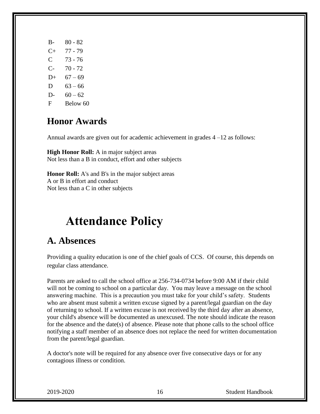B- 80 - 82 C+ 77 - 79 C 73 - 76 C- 70 - 72  $D+ 67-69$ D  $63 - 66$ D-  $60 - 62$ F Below 60

### **Honor Awards**

Annual awards are given out for academic achievement in grades 4 –12 as follows:

**High Honor Roll:** A in major subject areas Not less than a B in conduct, effort and other subjects

**Honor Roll:** A's and B's in the major subject areas A or B in effort and conduct Not less than a C in other subjects

## **Attendance Policy**

### **A. Absences**

Providing a quality education is one of the chief goals of CCS. Of course, this depends on regular class attendance.

Parents are asked to call the school office at 256-734-0734 before 9:00 AM if their child will not be coming to school on a particular day. You may leave a message on the school answering machine. This is a precaution you must take for your child's safety. Students who are absent must submit a written excuse signed by a parent/legal guardian on the day of returning to school. If a written excuse is not received by the third day after an absence, your child's absence will be documented as unexcused. The note should indicate the reason for the absence and the date(s) of absence. Please note that phone calls to the school office notifying a staff member of an absence does not replace the need for written documentation from the parent/legal guardian.

A doctor's note will be required for any absence over five consecutive days or for any contagious illness or condition.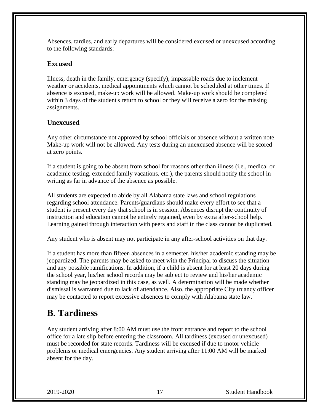Absences, tardies, and early departures will be considered excused or unexcused according to the following standards:

#### **Excused**

Illness, death in the family, emergency (specify), impassable roads due to inclement weather or accidents, medical appointments which cannot be scheduled at other times. If absence is excused, make-up work will be allowed. Make-up work should be completed within 3 days of the student's return to school or they will receive a zero for the missing assignments.

#### **Unexcused**

Any other circumstance not approved by school officials or absence without a written note. Make-up work will not be allowed. Any tests during an unexcused absence will be scored at zero points.

If a student is going to be absent from school for reasons other than illness (i.e., medical or academic testing, extended family vacations, etc.), the parents should notify the school in writing as far in advance of the absence as possible.

All students are expected to abide by all Alabama state laws and school regulations regarding school attendance. Parents/guardians should make every effort to see that a student is present every day that school is in session. Absences disrupt the continuity of instruction and education cannot be entirely regained, even by extra after-school help. Learning gained through interaction with peers and staff in the class cannot be duplicated.

Any student who is absent may not participate in any after-school activities on that day.

If a student has more than fifteen absences in a semester, his/her academic standing may be jeopardized. The parents may be asked to meet with the Principal to discuss the situation and any possible ramifications. In addition, if a child is absent for at least 20 days during the school year, his/her school records may be subject to review and his/her academic standing may be jeopardized in this case, as well. A determination will be made whether dismissal is warranted due to lack of attendance. Also, the appropriate City truancy officer may be contacted to report excessive absences to comply with Alabama state law.

### **B. Tardiness**

Any student arriving after 8:00 AM must use the front entrance and report to the school office for a late slip before entering the classroom. All tardiness (excused or unexcused) must be recorded for state records. Tardiness will be excused if due to motor vehicle problems or medical emergencies. Any student arriving after 11:00 AM will be marked absent for the day.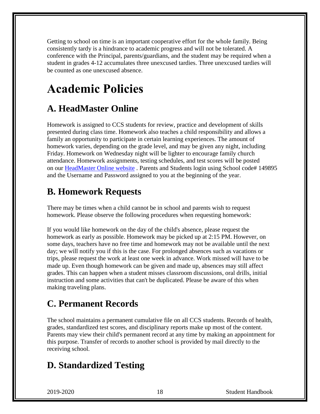Getting to school on time is an important cooperative effort for the whole family. Being consistently tardy is a hindrance to academic progress and will not be tolerated. A conference with the Principal, parents/guardians, and the student may be required when a student in grades 4-12 accumulates three unexcused tardies. Three unexcused tardies will be counted as one unexcused absence.

## **Academic Policies**

### **A. HeadMaster Online**

Homework is assigned to CCS students for review, practice and development of skills presented during class time. Homework also teaches a child responsibility and allows a family an opportunity to participate in certain learning experiences. The amount of homework varies, depending on the grade level, and may be given any night, including Friday. Homework on Wednesday night will be lighter to encourage family church attendance. Homework assignments, testing schedules, and test scores will be posted on our [HeadMaster Online website](https://secure.headmasteronline.com/) . Parents and Students login using School code# 149895 and the Username and Password assigned to you at the beginning of the year.

### **B. Homework Requests**

There may be times when a child cannot be in school and parents wish to request homework. Please observe the following procedures when requesting homework:

If you would like homework on the day of the child's absence, please request the homework as early as possible. Homework may be picked up at 2:15 PM. However, on some days, teachers have no free time and homework may not be available until the next day; we will notify you if this is the case. For prolonged absences such as vacations or trips, please request the work at least one week in advance. Work missed will have to be made up. Even though homework can be given and made up, absences may still affect grades. This can happen when a student misses classroom discussions, oral drills, initial instruction and some activities that can't be duplicated. Please be aware of this when making traveling plans.

### **C. Permanent Records**

The school maintains a permanent cumulative file on all CCS students. Records of health, grades, standardized test scores, and disciplinary reports make up most of the content. Parents may view their child's permanent record at any time by making an appointment for this purpose. Transfer of records to another school is provided by mail directly to the receiving school.

### **D. Standardized Testing**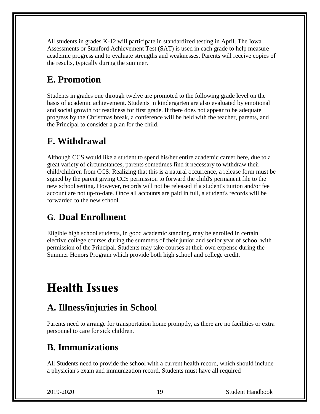All students in grades K-12 will participate in standardized testing in April. The Iowa Assessments or Stanford Achievement Test (SAT) is used in each grade to help measure academic progress and to evaluate strengths and weaknesses. Parents will receive copies of the results, typically during the summer.

### **E. Promotion**

Students in grades one through twelve are promoted to the following grade level on the basis of academic achievement. Students in kindergarten are also evaluated by emotional and social growth for readiness for first grade. If there does not appear to be adequate progress by the Christmas break, a conference will be held with the teacher, parents, and the Principal to consider a plan for the child.

### **F. Withdrawal**

Although CCS would like a student to spend his/her entire academic career here, due to a great variety of circumstances, parents sometimes find it necessary to withdraw their child/children from CCS. Realizing that this is a natural occurrence, a release form must be signed by the parent giving CCS permission to forward the child's permanent file to the new school setting. However, records will not be released if a student's tuition and/or fee account are not up-to-date. Once all accounts are paid in full, a student's records will be forwarded to the new school.

### **G. Dual Enrollment**

Eligible high school students, in good academic standing, may be enrolled in certain elective college courses during the summers of their junior and senior year of school with permission of the Principal. Students may take courses at their own expense during the Summer Honors Program which provide both high school and college credit.

## **Health Issues**

### **A. Illness/injuries in School**

Parents need to arrange for transportation home promptly, as there are no facilities or extra personnel to care for sick children.

### **B. Immunizations**

All Students need to provide the school with a current health record, which should include a physician's exam and immunization record. Students must have all required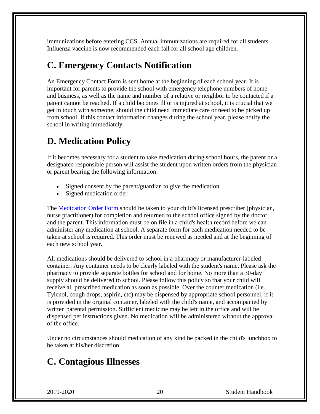immunizations before entering CCS. Annual immunizations are required for all students. Influenza vaccine is now recommended each fall for all school age children.

### **C. Emergency Contacts Notification**

An Emergency Contact Form is sent home at the beginning of each school year. It is important for parents to provide the school with emergency telephone numbers of home and business, as well as the name and number of a relative or neighbor to be contacted if a parent cannot be reached. If a child becomes ill or is injured at school, it is crucial that we get in touch with someone, should the child need immediate care or need to be picked up from school. If this contact information changes during the school year, please notify the school in writing immediately.

### **D. Medication Policy**

If it becomes necessary for a student to take medication during school hours, the parent or a designated responsible person will assist the student upon written orders from the physician or parent bearing the following information:

- Signed consent by the parent/guardian to give the medication
- Signed medication order

The [Medication Order Form](http://www.cullmanchristian.com/site/sites/default/files/documents/medication%2Bform.pdf) should be taken to your child's licensed prescriber (physician, nurse practitioner) for completion and returned to the school office signed by the doctor and the parent. This information must be on file in a child's health record before we can administer any medication at school. A separate form for each medication needed to be taken at school is required. This order must be renewed as needed and at the beginning of each new school year.

All medications should be delivered to school in a pharmacy or manufacturer-labeled container. Any container needs to be clearly labeled with the student's name. Please ask the pharmacy to provide separate bottles for school and for home. No more than a 30-day supply should be delivered to school. Please follow this policy so that your child will receive all prescribed medication as soon as possible. Over the counter medication (i.e. Tylenol, cough drops, aspirin, etc) may be dispensed by appropriate school personnel, if it is provided in the original container, labeled with the child's name, and accompanied by written parental permission. Sufficient medicine may be left in the office and will be dispensed per instructions given. No medication will be administered without the approval of the office.

Under no circumstances should medication of any kind be packed in the child's lunchbox to be taken at his/her discretion.

### **C. Contagious Illnesses**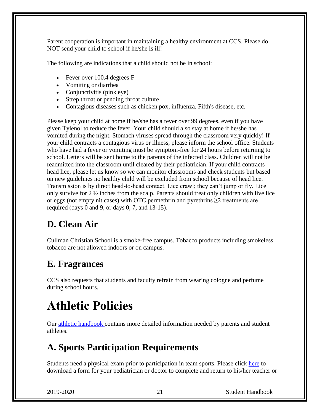Parent cooperation is important in maintaining a healthy environment at CCS. Please do NOT send your child to school if he/she is ill!

The following are indications that a child should not be in school:

- Fever over 100.4 degrees F
- Vomiting or diarrhea
- Conjunctivitis (pink eye)
- Strep throat or pending throat culture
- Contagious diseases such as chicken pox, influenza, Fifth's disease, etc.

Please keep your child at home if he/she has a fever over 99 degrees, even if you have given Tylenol to reduce the fever. Your child should also stay at home if he/she has vomited during the night. Stomach viruses spread through the classroom very quickly! If your child contracts a contagious virus or illness, please inform the school office. Students who have had a fever or vomiting must be symptom-free for 24 hours before returning to school. Letters will be sent home to the parents of the infected class. Children will not be readmitted into the classroom until cleared by their pediatrician. If your child contracts head lice, please let us know so we can monitor classrooms and check students but based on new guidelines no healthy child will be excluded from school because of head lice. Transmission is by direct head-to-head contact. Lice crawl; they can't jump or fly. Lice only survive for  $2 \frac{1}{2}$  inches from the scalp. Parents should treat only children with live lice or eggs (not empty nit cases) with OTC permethrin and pyrethrins ≥2 treatments are required (days 0 and 9, or days  $0, 7$ , and  $13-15$ ).

### **D. Clean Air**

Cullman Christian School is a smoke-free campus. Tobacco products including smokeless tobacco are not allowed indoors or on campus.

### **E. Fragrances**

CCS also requests that students and faculty refrain from wearing cologne and perfume during school hours.

## **Athletic Policies**

Our [athletic handbook c](http://www.cullmanchristian.com/site/sites/default/files/documents/athletic_handbook.pdf)ontains more detailed information needed by parents and student athletes.

### **A. Sports Participation Requirements**

Students need a physical exam prior to participation in team sports. Please click [here](http://www.cullmanchristian.com/site/sites/default/files/documents/PRE-physical_exam_form_12.28.06.doc) to download a form for your pediatrician or doctor to complete and return to his/her teacher or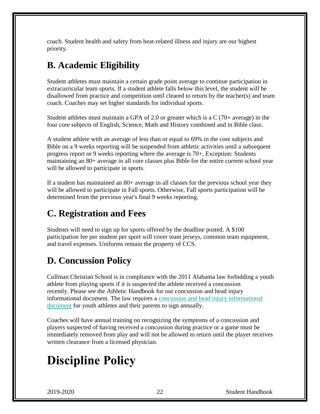coach. Student health and safety from heat-related illness and injury are our highest priority.

### **B. Academic Eligibility**

Student athletes must maintain a certain grade point average to continue participation in extracurricular team sports. If a student athlete falls below this level, the student will be disallowed from practice and competition until cleared to return by the teacher(s) and team coach. Coaches may set higher standards for individual sports.

Student athletes must maintain a GPA of 2.0 or greater which is a  $C(70+)$  average) in the four core subjects of English, Science, Math and History combined and in Bible class.

A student athlete with an average of less than or equal to 69% in the core subjects and Bible on a 9 weeks reporting will be suspended from athletic activities until a subsequent progress report or 9 weeks reporting where the average is 70+. Exception: Students maintaining an 80+ average in all core classes plus Bible for the entire current school year will be allowed to participate in sports.

If a student has maintained an 80+ average in all classes for the previous school year they will be allowed to participate in Fall sports. Otherwise, Fall sports participation will be determined from the previous year's final 9 weeks reporting.

### **C. Registration and Fees**

Students will need to sign up for sports offered by the deadline posted. A \$100 participation fee per student per sport will cover team jerseys, common team equipment, and travel expenses. Uniforms remain the property of CCS.

### **D. Concussion Policy**

Cullman Christian School is in compliance with the 2011 Alabama law forbidding a youth athlete from playing sports if it is suspected the athlete received a concussion recently. Please see the Athletic Handbook for our concussion and head injury informational document. The law requires a [concussion and head injury informational](file:///C:/Users/Scott/Documents/CCS%20Documents/Concussion%20Information%20Sheet%20and%20Student%20Consent.pdf)  [document](file:///C:/Users/Scott/Documents/CCS%20Documents/Concussion%20Information%20Sheet%20and%20Student%20Consent.pdf) for youth athletes and their parents to sign annually.

Coaches will have annual training on recognizing the symptoms of a concussion and players suspected of having received a concussion during practice or a game must be immediately removed from play and will not be allowed to return until the player receives written clearance from a licensed physician.

## **Discipline Policy**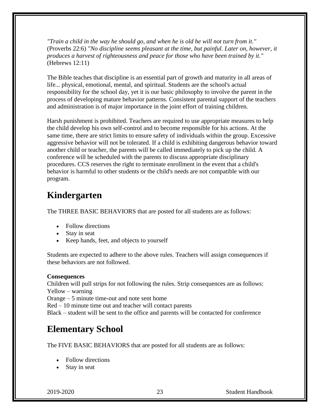*"Train a child in the way he should go, and when he is old he will not turn from it."* (Proverbs 22:6) *"No discipline seems pleasant at the time, but painful. Later on, however, it produces a harvest of righteousness and peace for those who have been trained by it."* (Hebrews 12:11)

The Bible teaches that discipline is an essential part of growth and maturity in all areas of life... physical, emotional, mental, and spiritual. Students are the school's actual responsibility for the school day, yet it is our basic philosophy to involve the parent in the process of developing mature behavior patterns. Consistent parental support of the teachers and administration is of major importance in the joint effort of training children.

Harsh punishment is prohibited. Teachers are required to use appropriate measures to help the child develop his own self-control and to become responsible for his actions. At the same time, there are strict limits to ensure safety of individuals within the group. Excessive aggressive behavior will not be tolerated. If a child is exhibiting dangerous behavior toward another child or teacher, the parents will be called immediately to pick up the child. A conference will be scheduled with the parents to discuss appropriate disciplinary procedures. CCS reserves the right to terminate enrollment in the event that a child's behavior is harmful to other students or the child's needs are not compatible with our program.

### **Kindergarten**

The THREE BASIC BEHAVIORS that are posted for all students are as follows:

- Follow directions
- Stay in seat
- Keep hands, feet, and objects to yourself

Students are expected to adhere to the above rules. Teachers will assign consequences if these behaviors are not followed.

#### **Consequences**

Children will pull strips for not following the rules. Strip consequences are as follows: Yellow – warning

Orange – 5 minute time-out and note sent home

Red – 10 minute time out and teacher will contact parents

Black – student will be sent to the office and parents will be contacted for conference

### **Elementary School**

The FIVE BASIC BEHAVIORS that are posted for all students are as follows:

- Follow directions
- Stay in seat

2019-2020 23 Student Handbook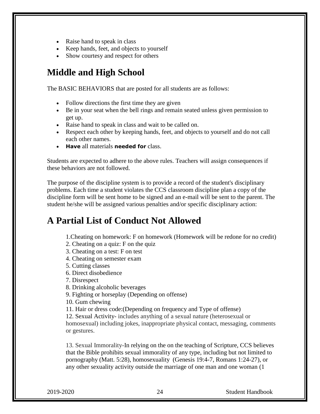- Raise hand to speak in class
- Keep hands, feet, and objects to yourself
- Show courtesy and respect for others

### **Middle and High School**

The BASIC BEHAVIORS that are posted for all students are as follows:

- Follow directions the first time they are given
- Be in your seat when the bell rings and remain seated unless given permission to get up.
- Raise hand to speak in class and wait to be called on.
- Respect each other by keeping hands, feet, and objects to yourself and do not call each other names.
- **Have** all materials **needed for** class.

Students are expected to adhere to the above rules. Teachers will assign consequences if these behaviors are not followed.

The purpose of the discipline system is to provide a record of the student's disciplinary problems. Each time a student violates the CCS classroom discipline plan a copy of the discipline form will be sent home to be signed and an e-mail will be sent to the parent. The student he/she will be assigned various penalties and/or specific disciplinary action:

### **A Partial List of Conduct Not Allowed**

1.Cheating on homework: F on homework (Homework will be redone for no credit)

- 2. Cheating on a quiz: F on the quiz
- 3. Cheating on a test: F on test
- 4. Cheating on semester exam
- 5. Cutting classes
- 6. Direct disobedience

7. Disrespect

- 8. Drinking alcoholic beverages
- 9. Fighting or horseplay (Depending on offense)

10. Gum chewing

11. Hair or dress code:(Depending on frequency and Type of offense)

12. Sexual Activity- includes anything of a sexual nature (heterosexual or

homosexual) including jokes, inappropriate physical contact, messaging, comments or gestures.

13. Sexual Immorality-In relying on the on the teaching of Scripture, CCS believes that the Bible prohibits sexual immorality of any type, including but not limited to pornography (Matt. 5:28), homosexuality [\(Genesis 19:4-7,](http://biblia.com/bible/nasb95/Genesis%2019.4-7) [Romans 1:24-27\)](http://biblia.com/bible/nasb95/Romans%201.24-27), or any other sexuality activity outside the marriage of one man and one woman [\(1](http://biblia.com/bible/nasb95/1%20Corinthians%206.18-20)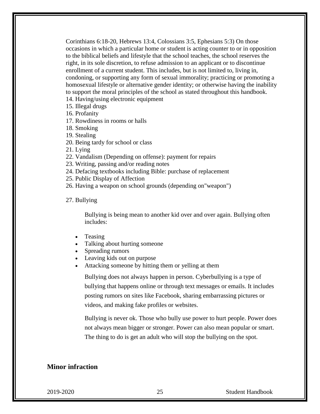[Corinthians 6:18-20,](http://biblia.com/bible/nasb95/1%20Corinthians%206.18-20) [Hebrews 13:4,](http://biblia.com/bible/nasb95/Hebrews%2013.4) [Colossians](http://www.jw.org/en/publications/bible/nwt/books/colossians/3/#v51003005) 3:5, [Ephesians](http://www.jw.org/en/publications/bible/nwt/books/ephesians/5/#v49005003) 5:3) On those occasions in which a particular home or student is acting counter to or in opposition to the biblical beliefs and lifestyle that the school teaches, the school reserves the right, in its sole discretion, to refuse admission to an applicant or to discontinue enrollment of a current student. This includes, but is not limited to, living in, condoning, or supporting any form of sexual immorality; practicing or promoting a homosexual lifestyle or alternative gender identity; or otherwise having the inability to support the moral principles of the school as stated throughout this handbook.

- 14. Having/using electronic equipment
- 15. Illegal drugs
- 16. Profanity
- 17. Rowdiness in rooms or halls
- 18. Smoking
- 19. Stealing
- 20. Being tardy for school or class
- 21. Lying
- 22. Vandalism (Depending on offense): payment for repairs
- 23. Writing, passing and/or reading notes
- 24. Defacing textbooks including Bible: purchase of replacement
- 25. Public Display of Affection
- 26. Having a weapon on school grounds (depending on"weapon")
- 27. Bullying

Bullying is being mean to another kid over and over again. Bullying often includes:

- Teasing
- Talking about hurting someone
- Spreading rumors
- Leaving kids out on purpose
- Attacking someone by hitting them or yelling at them

Bullying does not always happen in person. Cyberbullying is a type of bullying that happens online or through text messages or emails. It includes posting rumors on sites like Facebook, sharing embarrassing pictures or videos, and making fake profiles or websites.

Bullying is never ok. Those who bully use power to hurt people. Power does not always mean bigger or stronger. Power can also mean popular or smart. The thing to do is get an adult who will stop the bullying on the spot.

#### **Minor infraction**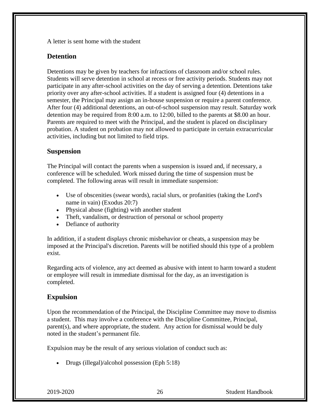A letter is sent home with the student

#### **Detention**

Detentions may be given by teachers for infractions of classroom and/or school rules. Students will serve detention in school at recess or free activity periods. Students may not participate in any after-school activities on the day of serving a detention. Detentions take priority over any after-school activities. If a student is assigned four (4) detentions in a semester, the Principal may assign an in-house suspension or require a parent conference. After four (4) additional detentions, an out-of-school suspension may result. Saturday work detention may be required from 8:00 a.m. to 12:00, billed to the parents at \$8.00 an hour. Parents are required to meet with the Principal, and the student is placed on disciplinary probation. A student on probation may not allowed to participate in certain extracurricular activities, including but not limited to field trips.

#### **Suspension**

The Principal will contact the parents when a suspension is issued and, if necessary, a conference will be scheduled. Work missed during the time of suspension must be completed. The following areas will result in immediate suspension:

- Use of obscenities (swear words), racial slurs, or profanities (taking the Lord's name in vain) (Exodus 20:7)
- Physical abuse (fighting) with another student
- Theft, vandalism, or destruction of personal or school property
- Defiance of authority

In addition, if a student displays chronic misbehavior or cheats, a suspension may be imposed at the Principal's discretion. Parents will be notified should this type of a problem exist.

Regarding acts of violence, any act deemed as abusive with intent to harm toward a student or employee will result in immediate dismissal for the day, as an investigation is completed.

#### **Expulsion**

Upon the recommendation of the Principal, the Discipline Committee may move to dismiss a student. This may involve a conference with the Discipline Committee, Principal, parent(s), and where appropriate, the student. Any action for dismissal would be duly noted in the student's permanent file.

Expulsion may be the result of any serious violation of conduct such as:

• Drugs (illegal)/alcohol possession (Eph 5:18)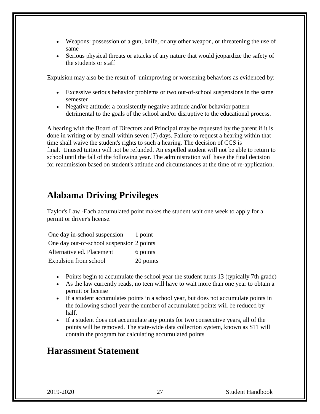- Weapons: possession of a gun, knife, or any other weapon, or threatening the use of same
- Serious physical threats or attacks of any nature that would jeopardize the safety of the students or staff

Expulsion may also be the result of unimproving or worsening behaviors as evidenced by:

- Excessive serious behavior problems or two out-of-school suspensions in the same semester
- Negative attitude: a consistently negative attitude and/or behavior pattern detrimental to the goals of the school and/or disruptive to the educational process.

A hearing with the Board of Directors and Principal may be requested by the parent if it is done in writing or by email within seven (7) days. Failure to request a hearing within that time shall waive the student's rights to such a hearing. The decision of CCS is final. Unused tuition will not be refunded. An expelled student will not be able to return to school until the fall of the following year. The administration will have the final decision for readmission based on student's attitude and circumstances at the time of re-application.

#### **Alabama Driving Privileges**

Taylor's Law -Each accumulated point makes the student wait one week to apply for a permit or driver's license.

| One day in-school suspension              | 1 point   |
|-------------------------------------------|-----------|
| One day out-of-school suspension 2 points |           |
| Alternative ed. Placement                 | 6 points  |
| Expulsion from school                     | 20 points |

- Points begin to accumulate the school year the student turns 13 (typically 7th grade)
- As the law currently reads, no teen will have to wait more than one year to obtain a permit or license
- If a student accumulates points in a school year, but does not accumulate points in the following school year the number of accumulated points will be reduced by half.
- If a student does not accumulate any points for two consecutive years, all of the points will be removed. The state-wide data collection system, known as STI will contain the program for calculating accumulated points

### **Harassment Statement**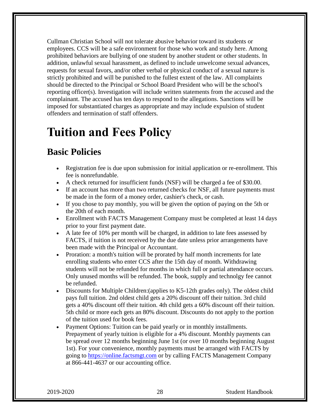Cullman Christian School will not tolerate abusive behavior toward its students or employees. CCS will be a safe environment for those who work and study here. Among prohibited behaviors are bullying of one student by another student or other students. In addition, unlawful sexual harassment, as defined to include unwelcome sexual advances, requests for sexual favors, and/or other verbal or physical conduct of a sexual nature is strictly prohibited and will be punished to the fullest extent of the law. All complaints should be directed to the Principal or School Board President who will be the school's reporting officer(s). Investigation will include written statements from the accused and the complainant. The accused has ten days to respond to the allegations. Sanctions will be imposed for substantiated charges as appropriate and may include expulsion of student offenders and termination of staff offenders.

## **Tuition and Fees Policy**

### **Basic Policies**

- Registration fee is due upon submission for initial application or re-enrollment. This fee is nonrefundable.
- A check returned for insufficient funds (NSF) will be charged a fee of \$30.00.
- If an account has more than two returned checks for NSF, all future payments must be made in the form of a money order, cashier's check, or cash.
- If you chose to pay monthly, you will be given the option of paying on the 5th or the 20th of each month.
- Enrollment with FACTS Management Company must be completed at least 14 days prior to your first payment date.
- A late fee of 10% per month will be charged, in addition to late fees assessed by FACTS, if tuition is not received by the due date unless prior arrangements have been made with the Principal or Accountant.
- Proration: a month's tuition will be prorated by half month increments for late enrolling students who enter CCS after the 15th day of month. Withdrawing students will not be refunded for months in which full or partial attendance occurs. Only unused months will be refunded. The book, supply and technolgy fee cannot be refunded.
- Discounts for Multiple Children: (applies to K5-12th grades only). The oldest child pays full tuition. 2nd oldest child gets a 20% discount off their tuition. 3rd child gets a 40% discount off their tuition. 4th child gets a 60% discount off their tuition. 5th child or more each gets an 80% discount. Discounts do not apply to the portion of the tuition used for book fees.
- Payment Options: Tuition can be paid yearly or in monthly installments. Prepayment of yearly tuition is eligible for a 4% discount. Monthly payments can be spread over 12 months beginning June 1st (or over 10 months beginning August 1st). For your convenience, monthly payments must be arranged with FACTS by going to [https://online.factsmgt.com](https://online.factsmgt.com/) or by calling FACTS Management Company at 866-441-4637 or our accounting office.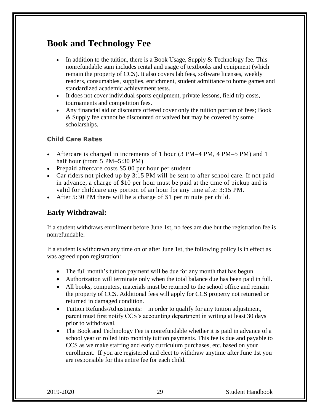### **Book and Technology Fee**

- In addition to the tuition, there is a Book Usage, Supply  $&$  Technology fee. This nonrefundable sum includes rental and usage of textbooks and equipment (which remain the property of CCS). It also covers lab fees, software licenses, weekly readers, consumables, supplies, enrichment, student admittance to home games and standardized academic achievement tests.
- It does not cover individual sports equipment, private lessons, field trip costs, tournaments and competition fees.
- Any financial aid or discounts offered cover only the tuition portion of fees; Book & Supply fee cannot be discounted or waived but may be covered by some scholarships.

#### **Child Care Rates**

- Aftercare is charged in increments of 1 hour (3 PM–4 PM, 4 PM–5 PM) and 1 half hour (from 5 PM–5:30 PM)
- Prepaid aftercare costs \$5.00 per hour per student
- Car riders not picked up by 3:15 PM will be sent to after school care. If not paid in advance, a charge of \$10 per hour must be paid at the time of pickup and is valid for childcare any portion of an hour for any time after 3:15 PM.
- After 5:30 PM there will be a charge of \$1 per minute per child.

#### **Early Withdrawal:**

If a student withdraws enrollment before June 1st, no fees are due but the registration fee is nonrefundable.

If a student is withdrawn any time on or after June 1st, the following policy is in effect as was agreed upon registration:

- The full month's tuition payment will be due for any month that has begun.
- Authorization will terminate only when the total balance due has been paid in full.
- All books, computers, materials must be returned to the school office and remain the property of CCS. Additional fees will apply for CCS property not returned or returned in damaged condition.
- Tuition Refunds/Adjustments: in order to qualify for any tuition adjustment, parent must first notify CCS's accounting department in writing at least 30 days prior to withdrawal.
- The Book and Technology Fee is nonrefundable whether it is paid in advance of a school year or rolled into monthly tuition payments. This fee is due and payable to CCS as we make staffing and early curriculum purchases, etc. based on your enrollment. If you are registered and elect to withdraw anytime after June 1st you are responsible for this entire fee for each child.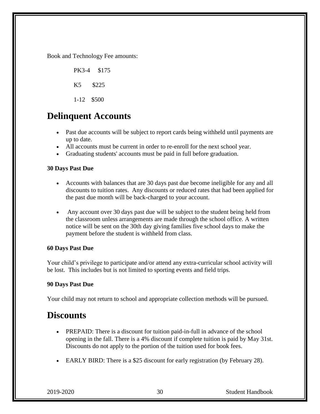Book and Technology Fee amounts:

 PK3-4 \$175 K5 \$225 1-12 \$500

#### **Delinquent Accounts**

- Past due accounts will be subject to report cards being withheld until payments are up to date.
- All accounts must be current in order to re-enroll for the next school year.
- Graduating students' accounts must be paid in full before graduation.

#### **30 Days Past Due**

- Accounts with balances that are 30 days past due become ineligible for any and all discounts to tuition rates. Any discounts or reduced rates that had been applied for the past due month will be back-charged to your account.
- Any account over 30 days past due will be subject to the student being held from the classroom unless arrangements are made through the school office. A written notice will be sent on the 30th day giving families five school days to make the payment before the student is withheld from class.

#### **60 Days Past Due**

Your child's privilege to participate and/or attend any extra-curricular school activity will be lost. This includes but is not limited to sporting events and field trips.

#### **90 Days Past Due**

Your child may not return to school and appropriate collection methods will be pursued.

#### **Discounts**

- PREPAID: There is a discount for tuition paid-in-full in advance of the school opening in the fall. There is a 4% discount if complete tuition is paid by May 31st. Discounts do not apply to the portion of the tuition used for book fees.
- EARLY BIRD: There is a \$25 discount for early registration (by February 28).

2019-2020 30 Student Handbook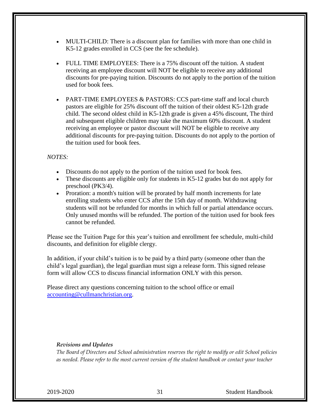- MULTI-CHILD: There is a discount plan for families with more than one child in K5-12 grades enrolled in CCS (see the fee schedule).
- FULL TIME EMPLOYEES: There is a 75% discount off the tuition. A student receiving an employee discount will NOT be eligible to receive any additional discounts for pre-paying tuition. Discounts do not apply to the portion of the tuition used for book fees.
- PART-TIME EMPLOYEES & PASTORS: CCS part-time staff and local church pastors are eligible for 25% discount off the tuition of their oldest K5-12th grade child. The second oldest child in K5-12th grade is given a 45% discount, The third and subsequent eligible children may take the maximum 60% discount. A student receiving an employee or pastor discount will NOT be eligible to receive any additional discounts for pre-paying tuition. Discounts do not apply to the portion of the tuition used for book fees.

#### *NOTES:*

- Discounts do not apply to the portion of the tuition used for book fees.
- These discounts are eligible only for students in K5-12 grades but do not apply for preschool (PK3/4).
- Proration: a month's tuition will be prorated by half month increments for late enrolling students who enter CCS after the 15th day of month. Withdrawing students will not be refunded for months in which full or partial attendance occurs. Only unused months will be refunded. The portion of the tuition used for book fees cannot be refunded.

Please see the Tuition Page for this year's tuition and enrollment fee schedule, multi-child discounts, and definition for eligible clergy.

In addition, if your child's tuition is to be paid by a third party (someone other than the child's legal guardian), the legal guardian must sign a release form. This signed release form will allow CCS to discuss financial information ONLY with this person.

Please direct any questions concerning tuition to the school office or email [accounting@cullmanchristian.org.](mailto:accounting@cullmanchristian.org)

#### *Revisions and Updates*

*The Board of Directors and School administration reserves the right to modify or edit School policies as needed. Please refer to the most current version of the student handbook or contact your teacher* 

2019-2020 31 Student Handbook